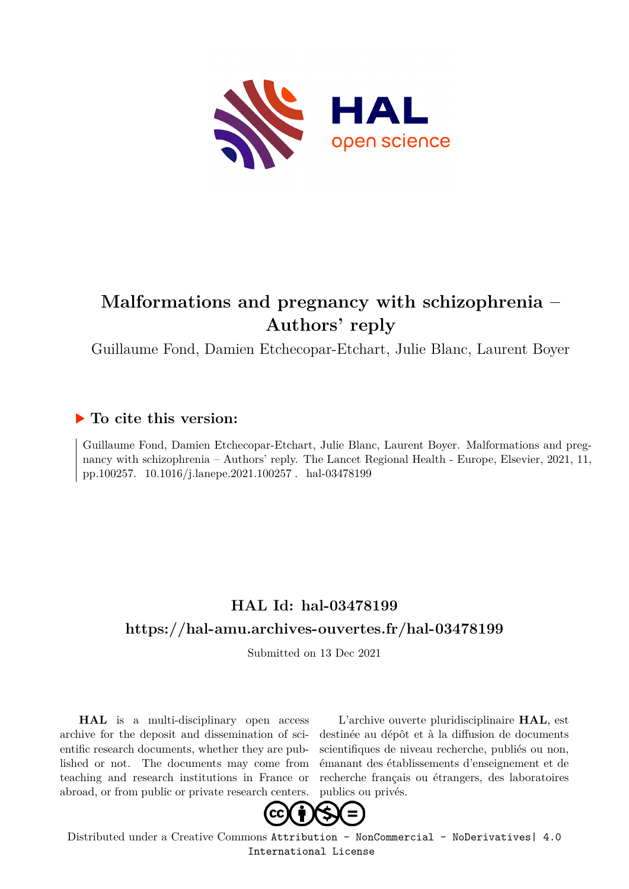

# **Malformations and pregnancy with schizophrenia – Authors' reply**

Guillaume Fond, Damien Etchecopar-Etchart, Julie Blanc, Laurent Boyer

### **To cite this version:**

Guillaume Fond, Damien Etchecopar-Etchart, Julie Blanc, Laurent Boyer. Malformations and pregnancy with schizophrenia – Authors' reply. The Lancet Regional Health - Europe, Elsevier, 2021, 11, pp.100257. 10.1016/j.lanepe.2021.100257. hal-03478199

## **HAL Id: hal-03478199 <https://hal-amu.archives-ouvertes.fr/hal-03478199>**

Submitted on 13 Dec 2021

**HAL** is a multi-disciplinary open access archive for the deposit and dissemination of scientific research documents, whether they are published or not. The documents may come from teaching and research institutions in France or abroad, or from public or private research centers.

L'archive ouverte pluridisciplinaire **HAL**, est destinée au dépôt et à la diffusion de documents scientifiques de niveau recherche, publiés ou non, émanant des établissements d'enseignement et de recherche français ou étrangers, des laboratoires publics ou privés.



Distributed under a Creative Commons [Attribution - NonCommercial - NoDerivatives| 4.0](http://creativecommons.org/licenses/by-nc-nd/4.0/) [International License](http://creativecommons.org/licenses/by-nc-nd/4.0/)